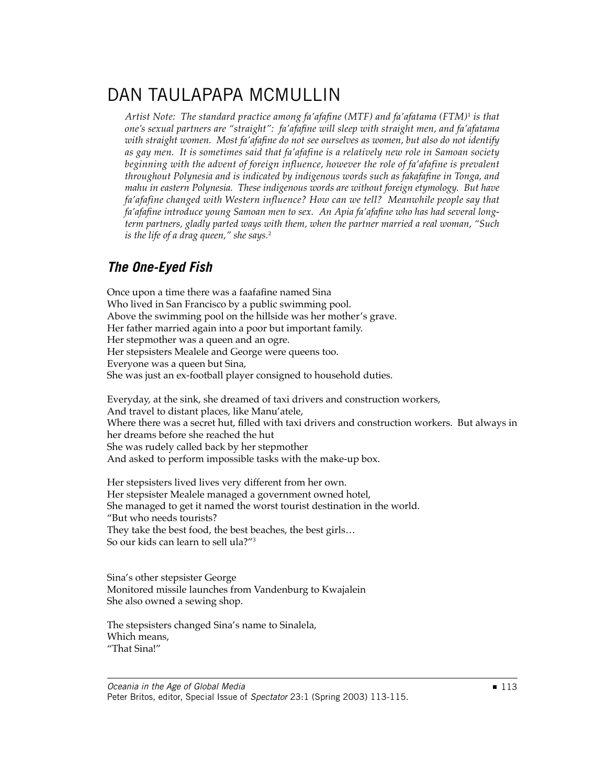## DAN TAULAPAPA MCMULLIN

*Artist Note: The standard practice among fa'afafi ne (MTF) and fa'afatama (FTM)*<sup>1</sup>  *is that one's sexual partners are "straight": fa'afafi ne will sleep with straight men, and fa'afatama*  with straight women. Most fa'afafine do not see ourselves as women, but also do not identify *as gay men. It is sometimes said that fa'afafine is a relatively new role in Samoan society beginning with the advent of foreign influence, however the role of fa'afafine is prevalent throughout Polynesia and is indicated by indigenous words such as fakafafi ne in Tonga, and mahu in eastern Polynesia. These indigenous words are without foreign etymology. But have fa'afafine changed with Western influence? How can we tell? Meanwhile people say that*  fa'afafine introduce young Samoan men to sex. An Apia fa'afafine who has had several long*term partners, gladly parted ways with them, when the partner married a real woman, "Such is the life of a drag queen," she says.*<sup>2</sup>

## *The One-Eyed Fish*

Once upon a time there was a faafafine named Sina Who lived in San Francisco by a public swimming pool. Above the swimming pool on the hillside was her mother's grave. Her father married again into a poor but important family. Her stepmother was a queen and an ogre. Her stepsisters Mealele and George were queens too. Everyone was a queen but Sina, She was just an ex-football player consigned to household duties.

Everyday, at the sink, she dreamed of taxi drivers and construction workers, And travel to distant places, like Manu'atele, Where there was a secret hut, filled with taxi drivers and construction workers. But always in her dreams before she reached the hut She was rudely called back by her stepmother And asked to perform impossible tasks with the make-up box.

Her stepsisters lived lives very different from her own. Her stepsister Mealele managed a government owned hotel, She managed to get it named the worst tourist destination in the world. "But who needs tourists? They take the best food, the best beaches, the best girls… So our kids can learn to sell ula?"<sup>3</sup>

Sina's other stepsister George Monitored missile launches from Vandenburg to Kwajalein She also owned a sewing shop.

The stepsisters changed Sina's name to Sinalela, Which means, "That Sina!"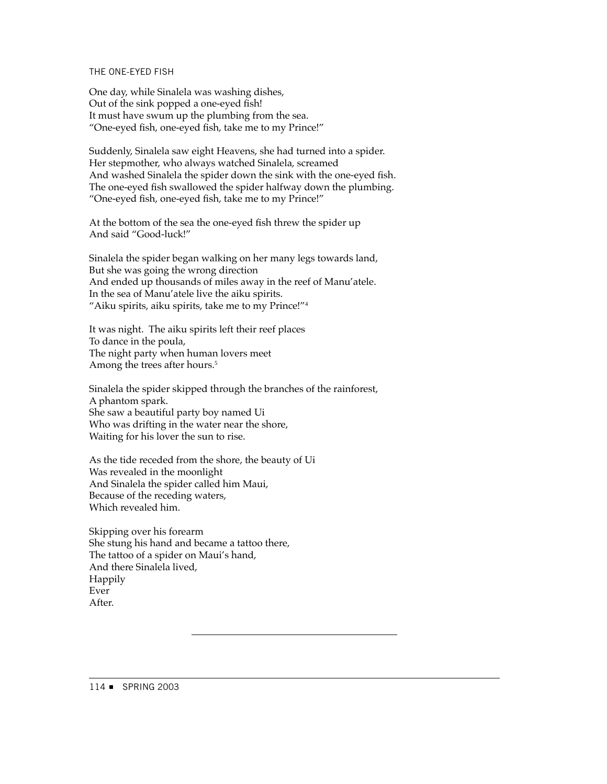## THE ONE-EYED FISH

One day, while Sinalela was washing dishes, Out of the sink popped a one-eyed fish! It must have swum up the plumbing from the sea. "One-eyed fish, one-eyed fish, take me to my Prince!"

Suddenly, Sinalela saw eight Heavens, she had turned into a spider. Her stepmother, who always watched Sinalela, screamed And washed Sinalela the spider down the sink with the one-eyed fish. The one-eyed fish swallowed the spider halfway down the plumbing. "One-eyed fish, one-eyed fish, take me to my Prince!"

At the bottom of the sea the one-eyed fish threw the spider up And said "Good-luck!"

Sinalela the spider began walking on her many legs towards land, But she was going the wrong direction And ended up thousands of miles away in the reef of Manu'atele. In the sea of Manu'atele live the aiku spirits. "Aiku spirits, aiku spirits, take me to my Prince!"<sup>4</sup>

It was night. The aiku spirits left their reef places To dance in the poula, The night party when human lovers meet Among the trees after hours.<sup>5</sup>

Sinalela the spider skipped through the branches of the rainforest, A phantom spark. She saw a beautiful party boy named Ui Who was drifting in the water near the shore, Waiting for his lover the sun to rise.

As the tide receded from the shore, the beauty of Ui Was revealed in the moonlight And Sinalela the spider called him Maui, Because of the receding waters, Which revealed him.

Skipping over his forearm She stung his hand and became a tattoo there, The tattoo of a spider on Maui's hand, And there Sinalela lived, Happily Ever After.